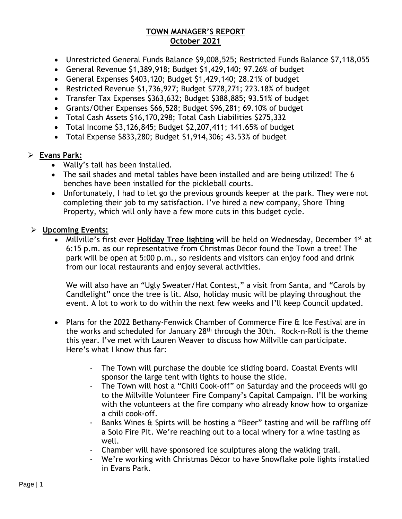## **TOWN MANAGER'S REPORT October 2021**

- Unrestricted General Funds Balance \$9,008,525; Restricted Funds Balance \$7,118,055
- General Revenue \$1,389,918; Budget \$1,429,140; 97.26% of budget
- General Expenses \$403,120; Budget \$1,429,140; 28.21% of budget
- Restricted Revenue \$1,736,927; Budget \$778,271; 223.18% of budget
- Transfer Tax Expenses \$363,632; Budget \$388,885; 93.51% of budget
- Grants/Other Expenses \$66,528; Budget \$96,281; 69.10% of budget
- Total Cash Assets \$16,170,298; Total Cash Liabilities \$275,332
- Total Income \$3,126,845; Budget \$2,207,411; 141.65% of budget
- Total Expense \$833,280; Budget \$1,914,306; 43.53% of budget

## ➢ **Evans Park:**

- Wally's tail has been installed.
- The sail shades and metal tables have been installed and are being utilized! The 6 benches have been installed for the pickleball courts.
- Unfortunately, I had to let go the previous grounds keeper at the park. They were not completing their job to my satisfaction. I've hired a new company, Shore Thing Property, which will only have a few more cuts in this budget cycle.

## ➢ **Upcoming Events:**

• Millville's first ever **Holiday Tree lighting** will be held on Wednesday, December 1st at 6:15 p.m. as our representative from Christmas Décor found the Town a tree! The park will be open at 5:00 p.m., so residents and visitors can enjoy food and drink from our local restaurants and enjoy several activities.

We will also have an "Ugly Sweater/Hat Contest," a visit from Santa, and "Carols by Candlelight" once the tree is lit. Also, holiday music will be playing throughout the event. A lot to work to do within the next few weeks and I'll keep Council updated.

- Plans for the 2022 Bethany-Fenwick Chamber of Commerce Fire & Ice Festival are in the works and scheduled for January 28th through the 30th. Rock-n-Roll is the theme this year. I've met with Lauren Weaver to discuss how Millville can participate. Here's what I know thus far:
	- The Town will purchase the double ice sliding board. Coastal Events will sponsor the large tent with lights to house the slide.
	- The Town will host a "Chili Cook-off" on Saturday and the proceeds will go to the Millville Volunteer Fire Company's Capital Campaign. I'll be working with the volunteers at the fire company who already know how to organize a chili cook-off.
	- Banks Wines & Spirts will be hosting a "Beer" tasting and will be raffling off a Solo Fire Pit. We're reaching out to a local winery for a wine tasting as well.
	- Chamber will have sponsored ice sculptures along the walking trail.
	- We're working with Christmas Décor to have Snowflake pole lights installed in Evans Park.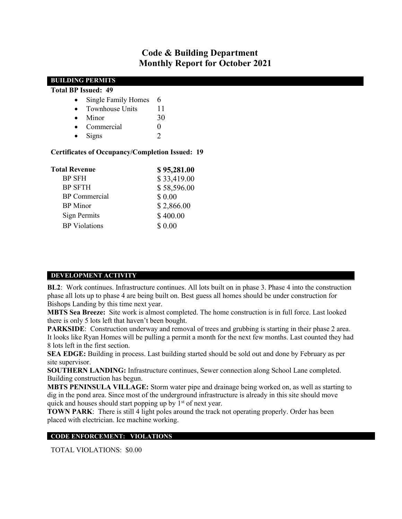# Code & Building Department Monthly Report for October 2021

| <b>BUILDING PERMITS</b>                                                        |             |  |  |
|--------------------------------------------------------------------------------|-------------|--|--|
| <b>Total BP Issued: 49</b>                                                     |             |  |  |
| <b>Single Family Homes</b><br>$\bullet$                                        | 6           |  |  |
| <b>Townhouse Units</b><br>$\bullet$                                            | 11          |  |  |
| Minor<br>$\bullet$                                                             | 30          |  |  |
| Commercial<br>$\bullet$                                                        | $\theta$    |  |  |
| Signs<br>$\bullet$                                                             | 2           |  |  |
| <b>Certificates of Occupancy/Completion Issued: 19</b><br><b>Total Revenue</b> | \$95,281.00 |  |  |
| <b>BP SFH</b>                                                                  | \$33,419.00 |  |  |
| <b>BP SFTH</b>                                                                 | \$58,596.00 |  |  |
| <b>BP</b> Commercial                                                           | \$ 0.00     |  |  |
| <b>BP</b> Minor                                                                | \$2,866.00  |  |  |
| Sign Permits                                                                   | \$400.00    |  |  |
| <b>BP</b> Violations                                                           | \$ 0.00     |  |  |

#### DEVELOPMENT ACTIVITY

BL2: Work continues. Infrastructure continues. All lots built on in phase 3. Phase 4 into the construction phase all lots up to phase 4 are being built on. Best guess all homes should be under construction for Bishops Landing by this time next year.

MBTS Sea Breeze: Site work is almost completed. The home construction is in full force. Last looked there is only 5 lots left that haven't been bought.

PARKSIDE: Construction underway and removal of trees and grubbing is starting in their phase 2 area. It looks like Ryan Homes will be pulling a permit a month for the next few months. Last counted they had 8 lots left in the first section.

SEA EDGE: Building in process. Last building started should be sold out and done by February as per site supervisor.

SOUTHERN LANDING: Infrastructure continues, Sewer connection along School Lane completed. Building construction has begun.

MBTS PENINSULA VILLAGE: Storm water pipe and drainage being worked on, as well as starting to dig in the pond area. Since most of the underground infrastructure is already in this site should move quick and houses should start popping up by  $1<sup>st</sup>$  of next year.

TOWN PARK: There is still 4 light poles around the track not operating properly. Order has been placed with electrician. Ice machine working.

#### CODE ENFORCEMENT: VIOLATIONS

TOTAL VIOLATIONS: \$0.00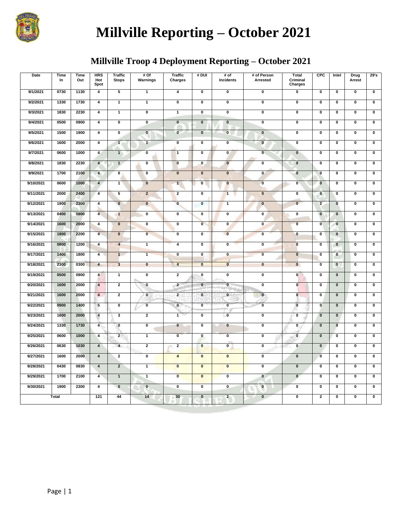

# **Millville Reporting – October 2021**

# **Millville Troop 4 Deployment Reporting – October 2021**

| <b>Date</b> | Time<br>In   | <b>Time</b><br>Out | <b>HRS</b><br>Hot<br>Spot | <b>Traffic</b><br><b>Stops</b> | #Of<br>Warnings         | <b>Traffic</b><br>Charges | # DUI                     | # of<br>Incidents         | # of Person<br>Arrested   | Total<br>Criminal<br>Charges | <b>CPC</b>                | Intel                   | Drug<br>Arrest            | 29's                      |
|-------------|--------------|--------------------|---------------------------|--------------------------------|-------------------------|---------------------------|---------------------------|---------------------------|---------------------------|------------------------------|---------------------------|-------------------------|---------------------------|---------------------------|
| 9/1/2021    | 0730         | 1130               | $\overline{\mathbf{4}}$   | 5                              | $\overline{1}$          | $\pmb{4}$                 | $\pmb{0}$                 | $\pmb{0}$                 | $\pmb{0}$                 | 0                            | $\pmb{0}$                 | $\pmb{0}$               | $\pmb{0}$                 | $\overline{\textbf{0}}$   |
| 9/2/2021    | 1330         | 1730               | 4                         | $\mathbf{1}$                   | $\mathbf{1}$            | $\pmb{0}$                 | $\pmb{0}$                 | $\pmb{0}$                 | $\overline{\mathbf{0}}$   | $\overline{\mathbf{0}}$      | $\pmb{0}$                 | $\mathbf 0$             | 0                         | $\overline{\mathbf{0}}$   |
| 9/3/2021    | 1830         | 2230               | $\overline{4}$            | $\overline{1}$                 | $\overline{\mathbf{0}}$ | $\overline{1}$            | $\overline{\mathfrak{o}}$ | $\overline{\mathfrak{o}}$ | $\overline{\mathbf{0}}$   | $\overline{\mathfrak{o}}$    | $\overline{\mathbf{0}}$   | $\overline{\mathbf{0}}$ | $\overline{\mathbf{0}}$   | $\overline{\mathfrak{o}}$ |
| 9/4/2021    | 0500         | 0900               | $\overline{\mathbf{4}}$   | 0                              | 0                       | $\mathbf 0$               | $\pmb{0}$                 | $\mathbf 0$               | $\pmb{0}$                 | $\pmb{0}$                    | $\pmb{0}$                 | $\bf{0}$                | $\pmb{0}$                 | 0                         |
| 9/5/2021    | 1500         | 1900               | $\overline{\mathbf{4}}$   | $\overline{\mathbf{0}}$        | $\mathbf{0}$            | $\pmb{0}$                 | $\mathbf 0$               | $\mathbf 0$               | $\pmb{0}$                 | $\overline{\mathbf{0}}$      | $\pmb{0}$                 | $\pmb{0}$               | $\pmb{0}$                 | $\overline{\mathbf{0}}$   |
| 9/6/2021    | 1600         | 2000               | $\overline{4}$            | $\overline{1}$                 | $\overline{1}$          | $\overline{\mathbf{0}}$   | $\overline{\mathbf{0}}$   | $\overline{\mathbf{0}}$   | $\overline{\mathbf{0}}$   | $\overline{\mathbf{0}}$      | $\overline{\mathfrak{o}}$ | $\overline{\mathbf{0}}$ | $\overline{\mathbf{0}}$   | $\overline{\mathfrak{o}}$ |
| 9/7/2021    | 0600         | 1000               | $\overline{4}$            | $\overline{1}$                 | 0                       | $\blacksquare$            | $\mathbf 0$               | $\mathbf 0$               | $\mathbf 0$               | $\pmb{0}$                    | 0                         | $\mathbf 0$             | 0                         | $\overline{\mathbf{0}}$   |
| 9/8/2021    | 1830         | 2230               | $\overline{4}$            | 1                              | $\mathbf 0$             | $\bf{0}$                  | $\mathbf{0}$              | $\bf{0}$                  | $\mathbf 0$               | $\pmb{0}$                    | 0                         | $\pmb{0}$               | $\mathbf 0$               | 0                         |
| 9/9/2021    | 1700         | 2100               | $\overline{\mathbf{4}}$   | 0                              | $\pmb{0}$               | $\mathbf 0$               | $\mathbf 0$               | $\pmb{0}$                 | $\mathbf 0$               | $\pmb{0}$                    | $\mathbf 0$               | $\pmb{0}$               | $\pmb{0}$                 | 0                         |
| 9/10/2021   | 0600         | 1000               | $\overline{\mathbf{4}}$   | $\mathbf{1}$                   | $\pmb{0}$               | $\mathbf{1}$              | $\pmb{0}$                 | $\mathbf 0$               | $\pmb{0}$                 | $\pmb{0}$                    | $\bf{0}$                  | $\mathbf 0$             | $\pmb{0}$                 | 0                         |
| 9/11/2021   | 2000         | 2400               | $\overline{\mathbf{4}}$   | 5                              | $\mathbf 2$             | $\overline{2}$            | $\pmb{0}$                 | $\mathbf{1}$              | $\mathbf 0$               | $\pmb{0}$                    | $\mathbf 0$               | $\mathbf 0$             | $\pmb{0}$                 | 0                         |
| 9/12/2021   | 1900         | 2300               | $\overline{4}$            | $\overline{\mathbf{0}}$        | $\overline{\mathbf{0}}$ | $\overline{\mathbf{0}}$   | $\overline{\mathbf{0}}$   | $\overline{1}$            | $\overline{\mathbf{0}}$   | $\overline{\mathbf{0}}$      | $\overline{2}$            | $\overline{\mathbf{0}}$ | $\overline{\mathbf{0}}$   | $\overline{\mathbf{0}}$   |
| 9/13/2021   | 0400         | 0800               | $\overline{\mathbf{4}}$   | $\mathbf{1}$                   | 0                       | $\overline{\mathbf{0}}$   | $\overline{\mathbf{0}}$   | $\overline{\mathbf{0}}$   | $\overline{\mathbf{0}}$   | $\overline{\mathbf{0}}$      | $\overline{\mathbf{0}}$   | $\overline{\mathbf{0}}$ | $\overline{\mathbf{0}}$   | $\overline{\mathbf{0}}$   |
| 9/14/2021   | 1600         | 2000               | $\overline{4}$            | $\overline{\mathbf{0}}$        | $\overline{\mathbf{0}}$ | $\overline{\mathfrak{o}}$ | $\overline{\mathbf{0}}$   | $\overline{\mathfrak{o}}$ | $\overline{\mathfrak{o}}$ | $\overline{\mathbf{0}}$      | $\overline{\mathbf{0}}$   | $\overline{\mathbf{0}}$ | $\overline{\mathfrak{o}}$ | $\overline{\mathbf{0}}$   |
| 9/15/2021   | 1800         | 2200               | $\overline{4}$            | $\pmb{0}$                      | $\pmb{0}$               | $\mathbf 0$               | $\pmb{0}$                 | $\overline{\mathbf{0}}$   | $\pmb{0}$                 | $\pmb{0}$                    | $\pmb{0}$                 | $\pmb{0}$               | $\pmb{0}$                 | $\overline{\mathbf{0}}$   |
| 9/16/2021   | 0800         | 1200               | $\overline{\mathbf{4}}$   | $\overline{\mathbf{4}}$        | $\mathbf{1}$            | 4                         | $\pmb{0}$                 | $\pmb{0}$                 | $\pmb{0}$                 | $\overline{\mathbf{0}}$      | $\pmb{0}$                 | $\pmb{0}$               | $\pmb{0}$                 | $\overline{\mathbf{0}}$   |
| 9/17/2021   | 1400         | 1800               | $\overline{4}$            | $\mathbf{1}$                   | $\overline{\mathbf{1}}$ | $\overline{\mathbf{0}}$   | $\pmb{0}$                 | $\overline{\mathbf{0}}$   | $\overline{\textbf{0}}$   | $\pmb{0}$                    | $\pmb{0}$                 | $\pmb{0}$               | $\pmb{0}$                 | $\overline{\textbf{0}}$   |
| 9/18/2021   | 2300         | 0300               | $\overline{4}$            | 3                              | $\pmb{0}$               | $\overline{\mathbf{4}}$   | $\overline{\mathbf{0}}$   | $\overline{\mathbf{0}}$   | $\bullet$                 | $\pmb{0}$                    | $\overline{\mathbf{0}}$   | $\overline{\mathbf{0}}$ | $\overline{\mathbf{0}}$   | $\overline{\mathbf{0}}$   |
| 9/19/2021   | 0500         | 0900               | $\overline{\mathbf{4}}$   | $\mathbf{1}$                   | $\pmb{0}$               | $\overline{2}$            | $\overline{\mathbf{0}}$   | $\overline{\mathbf{0}}$   | $\pmb{0}$                 | $\overline{\mathbf{0}}$      | $\overline{\mathbf{0}}$   | $\mathbf 0$             | $\overline{\mathbf{0}}$   | $\overline{\mathbf{0}}$   |
| 9/20/2021   | 1600         | 2000               | $\overline{4}$            | $\overline{2}$                 | $\bullet$               | $\overline{2}$            | $\overline{\mathbf{0}}$   | $\overline{\mathbf{0}}$   | $\overline{\mathbf{0}}$   | $\overline{\mathbf{0}}$      | $\overline{\mathbf{0}}$   | $\bf{0}$                | $\overline{\mathbf{0}}$   | $\overline{\mathbf{0}}$   |
| 9/21/2021   | 1600         | 2000               | $\overline{\mathbf{4}}$   | $\overline{2}$                 | $\mathbf{0}$            | $\overline{2}$            | $\mathbf{0}$              | $\mathbf{0}$              | $\mathbf{0}$<br>o         | $\bf{0}$                     | $\pmb{0}$                 | $\pmb{0}$               | $\pmb{0}$                 | $\overline{\mathbf{0}}$   |
| 9/22/2021   | 0900         | 1400               | 5                         | $\overline{\mathbf{0}}$        | $\mathbf{0}$            | $\bf{0}$                  | $\overline{\mathbf{0}}$   | $\overline{\mathbf{0}}$   | $\mathbf{0}$              | $\overline{\mathbf{0}}$      | $\bf{0}$                  | $\overline{\mathbf{0}}$ | $\overline{\mathbf{0}}$   | $\overline{\mathbf{0}}$   |
| 9/23/2021   | 1600         | 2000               | $\overline{4}$            | 3                              | $\overline{2}$          | $\mathbf{1}$              | $\overline{\mathbf{0}}$   | $\overline{\phantom{a}}$  | $\overline{\mathbf{0}}$   | $\overline{\mathbf{0}}$      | $\overline{\mathbf{0}}$   | $\bf{0}$                | $\overline{\mathbf{0}}$   | $\overline{\mathbf{0}}$   |
| 9/24/2021   | 1330         | 1730               | $\overline{\mathbf{4}}$   | $\overline{\mathbf{0}}$        | 0                       | $\overline{\mathbf{0}}$   | $\overline{\mathbf{0}}$   | $\overline{\mathbf{0}}$   | $\overline{\mathbf{0}}$   | $\overline{\mathbf{0}}$      | $\overline{\mathbf{0}}$   | $\overline{\mathbf{0}}$ | $\overline{\mathbf{0}}$   | $\overline{\mathbf{0}}$   |
| 9/25/2021   | 0600         | 1000               | $\overline{\mathbf{4}}$   | 2 <sub>1</sub>                 | $\mathbf{1}$            | $\pmb{0}$                 | $\pmb{0}$                 | $\mathbf 0$               | $\pmb{0}$                 | $\overline{\mathbf{0}}$      | $\mathbf 0$               | $\mathbf 0$             | $\pmb{0}$                 | $\overline{\textbf{0}}$   |
| 9/26/2021   | 0630         | 1030               | $\overline{4}$            | $\overline{4}$                 | $\mathbf{2}$            | $\overline{2}$            | $\bf{0}$                  | 0                         | 0                         | 0                            | $\bf{0}$                  | 0                       | 0                         | $\overline{\mathbf{0}}$   |
| 9/27/2021   | 1600         | 2000               | $\overline{\mathbf{4}}$   | $\mathbf 2$                    | 0                       | $\overline{\mathbf{4}}$   | $\bf{0}$                  | $\mathbf{0}$              | $\mathbf 0$               | $\pmb{0}$                    | $\mathbf 0$               | $\pmb{0}$               | $\pmb{0}$                 | 0                         |
| 9/28/2021   | 0430         | 0830               | $\overline{\mathbf{4}}$   | $\overline{2}$                 | $\mathbf{1}$            | $\bf{0}$                  | $\mathbf 0$               | $\mathbf{0}$              | 0                         | $\pmb{0}$                    | $\pmb{0}$                 | $\pmb{0}$               | $\pmb{0}$                 | 0                         |
| 9/29/2021   | 1700         | 2100               | $\overline{4}$            | $\mathbf{1}$                   | $\mathbf{1}$            | $\bf{0}$                  | $\mathbf 0$               | $\overline{\mathbf{0}}$   | $\mathbf 0$               | $\overline{0}$               | $\pmb{0}$                 | $\pmb{0}$               | $\pmb{0}$                 | $\overline{\mathbf{0}}$   |
| 9/30/2021   | 1900         | 2300               | $\overline{4}$            | $\overline{\mathbf{0}}$        | $\overline{\mathbf{0}}$ | $\overline{\mathbf{0}}$   | $\overline{\mathbf{0}}$   | $\overline{\mathbf{0}}$   | $\overline{\mathbf{0}}$   | 0                            | $\overline{\mathbf{0}}$   | $\overline{\mathbf{0}}$ | $\overline{\mathbf{0}}$   | $\overline{\mathbf{0}}$   |
|             | <b>Total</b> |                    | 121                       | 44                             | 14                      | 30                        | $\pmb{0}$                 | $\overline{2}$            | $\pmb{0}$                 | 0                            | $\mathbf{2}$              | $\mathbf 0$             | $\mathbf 0$               | 0                         |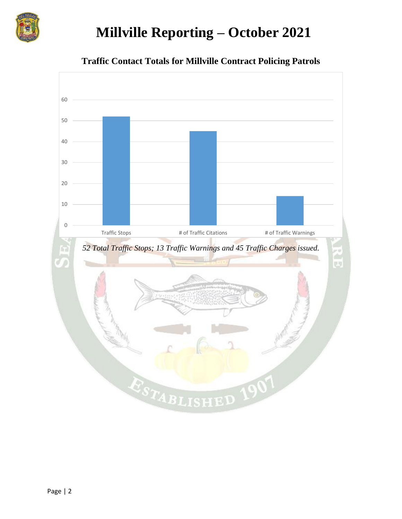

# **Millville Reporting – October 2021**



**Traffic Contact Totals for Millville Contract Policing Patrols**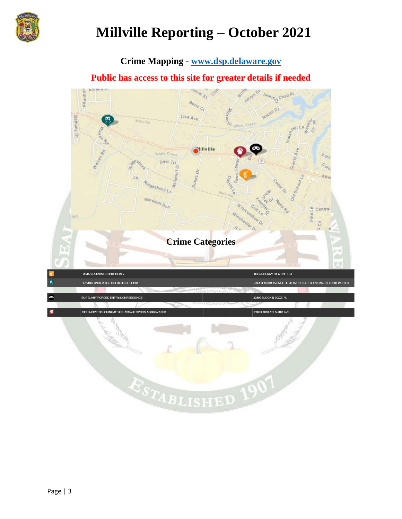

# **Millville Reporting – October 2021**

# **Crime Mapping - [www.dsp.delaware.gov](http://www.dsp.delaware.gov/)**

# **Public has access to this site for greater details if needed**